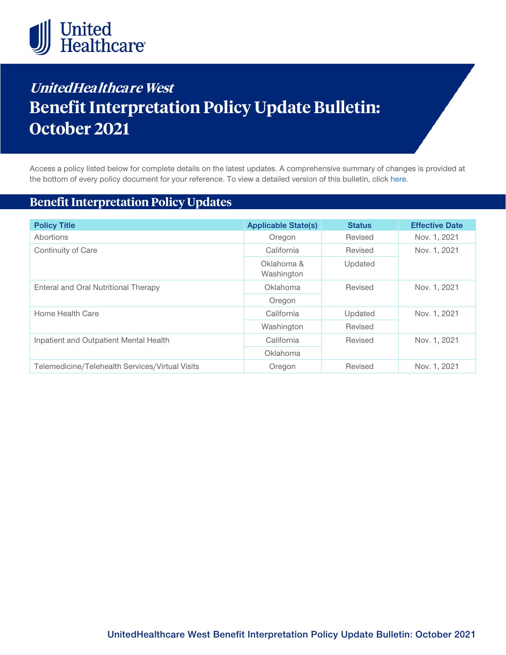

# **UnitedHealthcare West Benefit Interpretation Policy Update Bulletin: October 2021**

Access a policy listed below for complete details on the latest updates. A comprehensive summary of changes is provided at the bottom of every policy document for your reference. To view a detailed version of this bulletin, clic[k here.](https://www.uhcprovider.com/content/dam/provider/docs/public/policies/mpub-archives/sv-bip/sv-bip-update-bulletin-october-2021-full.pdf)

# **Benefit Interpretation Policy Updates**

| <b>Policy Title</b>                             | <b>Applicable State(s)</b> | <b>Status</b> | <b>Effective Date</b> |
|-------------------------------------------------|----------------------------|---------------|-----------------------|
| Abortions                                       | Oregon                     | Revised       | Nov. 1, 2021          |
| Continuity of Care                              | California                 | Revised       | Nov. 1, 2021          |
|                                                 | Oklahoma &<br>Washington   | Updated       |                       |
| Enteral and Oral Nutritional Therapy            | <b>Oklahoma</b>            | Revised       | Nov. 1, 2021          |
|                                                 | Oregon                     |               |                       |
| Home Health Care                                | California                 | Updated       | Nov. 1, 2021          |
|                                                 | Washington                 | Revised       |                       |
| Inpatient and Outpatient Mental Health          | California                 | Revised       | Nov. 1, 2021          |
|                                                 | Oklahoma                   |               |                       |
| Telemedicine/Telehealth Services/Virtual Visits | Oregon                     | Revised       | Nov. 1, 2021          |